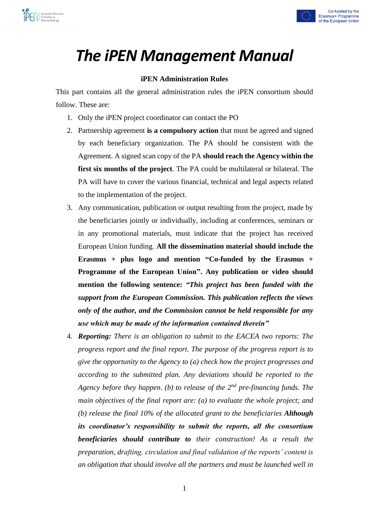



# *The iPEN Management Manual*

## **iPEN Administration Rules**

This part contains all the general administration rules the iPEN consortium should follow. These are:

- 1. Only the iPEN project coordinator can contact the PO
- 2. Partnership agreement **is a compulsory action** that must be agreed and signed by each beneficiary organization. The PA should be consistent with the Agreement. A signed scan copy of the PA **should reach the Agency within the first six months of the project**. The PA could be multilateral or bilateral. The PA will have to cover the various financial, technical and legal aspects related to the implementation of the project.
- 3. Any communication, publication or output resulting from the project, made by the beneficiaries jointly or individually, including at conferences, seminars or in any promotional materials, must indicate that the project has received European Union funding. **All the dissemination material should include the Erasmus + plus logo and mention "Co-funded by the Erasmus + Programme of the European Union". Any publication or video should mention the following sentence:** *"This project has been funded with the support from the European Commission. This publication reflects the views only of the author, and the Commission cannot be held responsible for any use which may be made of the information contained therein"*
- 4. *Reporting: There is an obligation to submit to the EACEA two reports: The progress report and the final report. The purpose of the progress report is to give the opportunity to the Agency to (a) check how the project progresses and according to the submitted plan. Any deviations should be reported to the Agency before they happen. (b) to release of the 2nd pre-financing funds. The main objectives of the final report are: (a) to evaluate the whole project; and (b) release the final 10% of the allocated grant to the beneficiaries Although its coordinator's responsibility to submit the reports, all the consortium beneficiaries should contribute to their construction! As a result the preparation, drafting, circulation and final validation of the reports' content is an obligation that should involve all the partners and must be launched well in*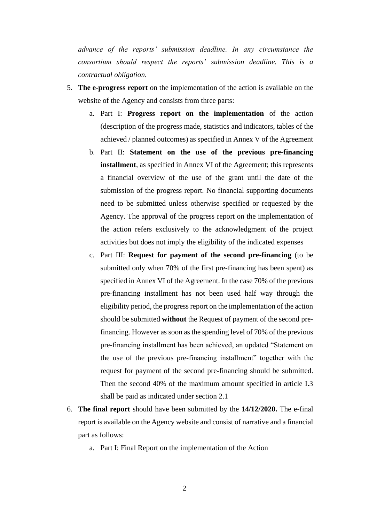*advance of the reports' submission deadline. In any circumstance the consortium should respect the reports' submission deadline. This is a contractual obligation.* 

- 5. **The e-progress report** on the implementation of the action is available on the website of the Agency and consists from three parts:
	- a. Part I: **Progress report on the implementation** of the action (description of the progress made, statistics and indicators, tables of the achieved / planned outcomes) as specified in Annex V of the Agreement
	- b. Part II: **Statement on the use of the previous pre-financing installment**, as specified in Annex VI of the Agreement; this represents a financial overview of the use of the grant until the date of the submission of the progress report. No financial supporting documents need to be submitted unless otherwise specified or requested by the Agency. The approval of the progress report on the implementation of the action refers exclusively to the acknowledgment of the project activities but does not imply the eligibility of the indicated expenses
	- c. Part III: **Request for payment of the second pre-financing** (to be submitted only when 70% of the first pre-financing has been spent) as specified in Annex VI of the Agreement. In the case 70% of the previous pre-financing installment has not been used half way through the eligibility period, the progress report on the implementation of the action should be submitted **without** the Request of payment of the second prefinancing. However as soon as the spending level of 70% of the previous pre-financing installment has been achieved, an updated "Statement on the use of the previous pre-financing installment" together with the request for payment of the second pre-financing should be submitted. Then the second 40% of the maximum amount specified in article I.3 shall be paid as indicated under section 2.1
- 6. **The final report** should have been submitted by the **14/12/2020.** The e-final report is available on the Agency website and consist of narrative and a financial part as follows:
	- a. Part I: Final Report on the implementation of the Action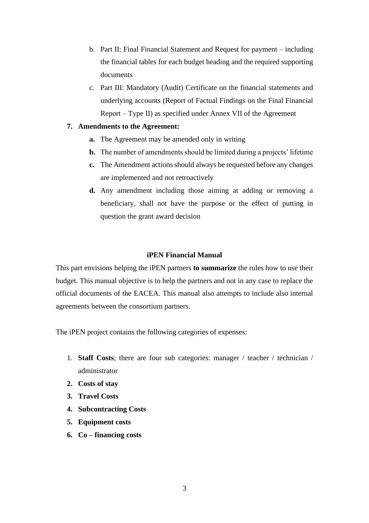- b. Part II: Final Financial Statement and Request for payment including the financial tables for each budget heading and the required supporting documents
- c. Part III: Mandatory (Audit) Certificate on the financial statements and underlying accounts (Report of Factual Findings on the Final Financial Report – Type II) as specified under Annex VII of the Agreement

## **7. Amendments to the Agreement:**

- **a.** The Agreement may be amended only in writing
- **b.** The number of amendments should be limited during a projects' lifetime
- **c.** The Amendment actions should always be requested before any changes are implemented and not retroactively
- **d.** Any amendment including those aiming at adding or removing a beneficiary, shall not have the purpose or the effect of putting in question the grant award decision

## **iPEN Financial Manual**

This part envisions helping the iPEN partners **to summarize** the rules how to use their budget. This manual objective is to help the partners and not in any case to replace the official documents of the EACEA. This manual also attempts to include also internal agreements between the consortium partners.

The iPEN project contains the following categories of expenses:

- 1. **Staff Costs**; there are four sub categories: manager / teacher / technician / administrator
- **2. Costs of stay**
- **3. Travel Costs**
- **4. Subcontracting Costs**
- **5. Equipment costs**
- **6. Co – financing costs**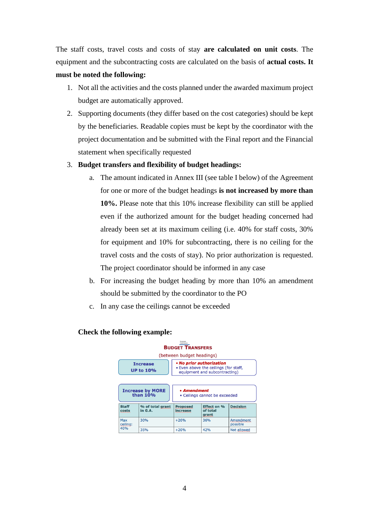The staff costs, travel costs and costs of stay **are calculated on unit costs**. The equipment and the subcontracting costs are calculated on the basis of **actual costs. It must be noted the following:**

- 1. Not all the activities and the costs planned under the awarded maximum project budget are automatically approved.
- 2. Supporting documents (they differ based on the cost categories) should be kept by the beneficiaries. Readable copies must be kept by the coordinator with the project documentation and be submitted with the Final report and the Financial statement when specifically requested
- 3. **Budget transfers and flexibility of budget headings:** 
	- a. The amount indicated in Annex III (see table I below) of the Agreement for one or more of the budget headings **is not increased by more than 10%.** Please note that this 10% increase flexibility can still be applied even if the authorized amount for the budget heading concerned had already been set at its maximum ceiling (i.e. 40% for staff costs, 30% for equipment and 10% for subcontracting, there is no ceiling for the travel costs and the costs of stay). No prior authorization is requested. The project coordinator should be informed in any case
	- b. For increasing the budget heading by more than 10% an amendment should be submitted by the coordinator to the PO
	- c. In any case the ceilings cannot be exceeded

| Funtonan<br><b>BUDGET TRANSFERS</b> |                                       |                                                                                                    |                                         |                       |  |
|-------------------------------------|---------------------------------------|----------------------------------------------------------------------------------------------------|-----------------------------------------|-----------------------|--|
|                                     |                                       | (between budget headings)                                                                          |                                         |                       |  |
|                                     | <b>Increase</b><br><b>UP to 10%</b>   | • No prior authorization<br>. Even above the ceilings (for staff,<br>equipment and subcontracting) |                                         |                       |  |
|                                     | <b>Increase by MORE</b><br>than $10%$ | • Amendment<br>• Ceilings cannot be exceeded                                                       |                                         |                       |  |
| <b>Staff</b><br>costs               | % of total grant<br>in G.A.           | <b>Proposed</b><br>increase                                                                        | <b>Effect on %</b><br>of total<br>grant | <b>Decision</b>       |  |
| Max<br>ceiling:                     | 30%                                   | $+20%$                                                                                             | 36%                                     | Amendment<br>possible |  |
| 40%                                 | 35%                                   | $+20%$                                                                                             | 42%                                     | <b>Not allowed</b>    |  |

## **Check the following example:**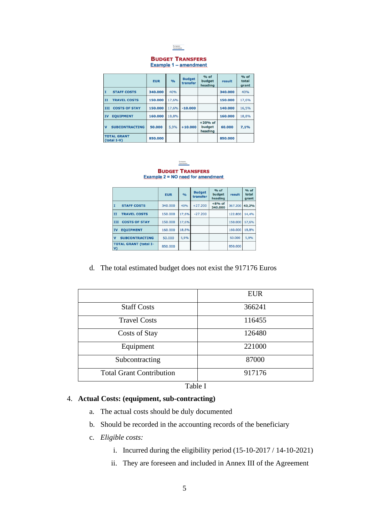

#### **BUDGET TRANSFERS** Example 1 - amendment

|                                     | <b>EUR</b> | $\frac{9}{0}$ | <b>Budget</b><br>transfer | $%$ of<br>budget<br>heading    | result  | $%$ of<br>total<br>grant |
|-------------------------------------|------------|---------------|---------------------------|--------------------------------|---------|--------------------------|
| <b>STAFF COSTS</b><br>π             | 340,000    | 40%           |                           |                                | 340.000 | 40%                      |
| lπ<br><b>TRAVEL COSTS</b>           | 150.000    | 17.6%         |                           |                                | 150.000 | 17,6%                    |
| <b>COSTS OF STAY</b><br>III         | 150,000    | 17,6%         | $-10,000$                 |                                | 140,000 | 16,5%                    |
| <b>EOUIPMENT</b><br><b>IV</b>       | 160,000    | 18,8%         |                           |                                | 160,000 | 18,8%                    |
| lv<br><b>SUBCONTRACTING</b>         | 50.000     | 5,9%          | $+10.000$                 | $+20%$ of<br>budget<br>heading | 60.000  | 7,1%                     |
| <b>TOTAL GRANT</b><br>$(total I-V)$ | 850,000    |               |                           |                                | 850,000 |                          |



**Example 2 = NO need for amendment** 

|                                              | <b>EUR</b> | $\frac{0}{0}$ | <b>Budget</b><br>transfer | $%$ of<br>budget<br>heading | result  | $%$ of<br>total<br>grant |
|----------------------------------------------|------------|---------------|---------------------------|-----------------------------|---------|--------------------------|
| <b>STAFF COSTS</b><br>I                      | 340.000    | 40%           | $+27.200$                 | $+8%$ of<br>340,000         | 367.200 | 43,2%                    |
| <b>TRAVEL COSTS</b><br>II                    | 150.000    | 17.6%         | $-27.200$                 |                             | 122.800 | 14,4%                    |
| <b>COSTS OF STAY</b><br>III                  | 150,000    | 17.6%         |                           |                             | 150,000 | 17.6%                    |
| <b>EOUIPMENT</b><br><b>IV</b>                | 160,000    | 18,8%         |                           |                             | 160,000 | 18,8%                    |
| $\mathbf v$<br><b>SUBCONTRACTING</b>         | 50,000     | 5,9%          |                           |                             | 50,000  | 5,9%                     |
| <b>TOTAL GRANT (total I-</b><br>$\mathsf{v}$ | 850.000    |               |                           |                             | 850,000 |                          |

d. The total estimated budget does not exist the 917176 Euros

|                                 | <b>EUR</b> |
|---------------------------------|------------|
| <b>Staff Costs</b>              | 366241     |
| <b>Travel Costs</b>             | 116455     |
| Costs of Stay                   | 126480     |
| Equipment                       | 221000     |
| Subcontracting                  | 87000      |
| <b>Total Grant Contribution</b> | 917176     |

Table I

# 4. **Actual Costs: (equipment, sub-contracting)**

- a. The actual costs should be duly documented
- b. Should be recorded in the accounting records of the beneficiary
- c. *Eligible costs:* 
	- i. Incurred during the eligibility period (15-10-2017 / 14-10-2021)
	- ii. They are foreseen and included in Annex III of the Agreement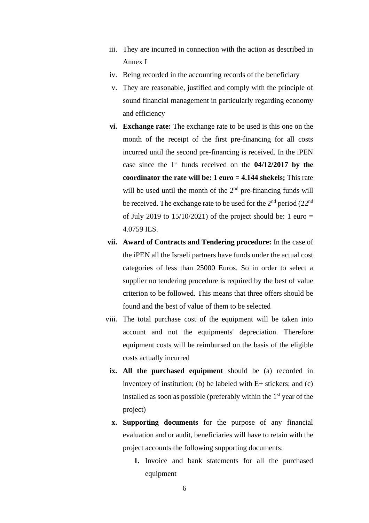- iii. They are incurred in connection with the action as described in Annex I
- iv. Being recorded in the accounting records of the beneficiary
- v. They are reasonable, justified and comply with the principle of sound financial management in particularly regarding economy and efficiency
- **vi. Exchange rate:** The exchange rate to be used is this one on the month of the receipt of the first pre-financing for all costs incurred until the second pre-financing is received. In the iPEN case since the 1st funds received on the **04/12/2017 by the coordinator the rate will be: 1 euro = 4.144 shekels;** This rate will be used until the month of the 2<sup>nd</sup> pre-financing funds will be received. The exchange rate to be used for the  $2<sup>nd</sup>$  period (22<sup>nd</sup>) of July 2019 to  $15/10/2021$  of the project should be: 1 euro = 4.0759 ILS.
- **vii. Award of Contracts and Tendering procedure:** In the case of the iPEN all the Israeli partners have funds under the actual cost categories of less than 25000 Euros. So in order to select a supplier no tendering procedure is required by the best of value criterion to be followed. This means that three offers should be found and the best of value of them to be selected
- viii. The total purchase cost of the equipment will be taken into account and not the equipments' depreciation. Therefore equipment costs will be reimbursed on the basis of the eligible costs actually incurred
	- **ix. All the purchased equipment** should be (a) recorded in inventory of institution; (b) be labeled with  $E+$  stickers; and (c) installed as soon as possible (preferably within the  $1<sup>st</sup>$  year of the project)
	- **x. Supporting documents** for the purpose of any financial evaluation and or audit, beneficiaries will have to retain with the project accounts the following supporting documents:
		- **1.** Invoice and bank statements for all the purchased equipment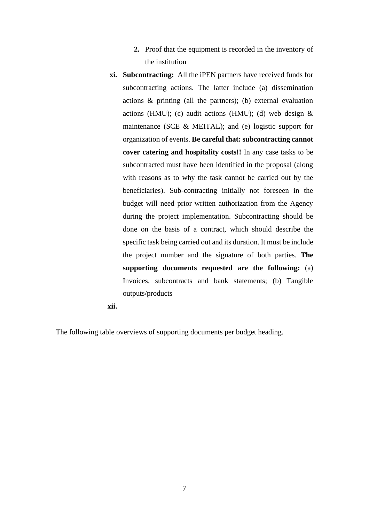- **2.** Proof that the equipment is recorded in the inventory of the institution
- **xi. Subcontracting:** All the iPEN partners have received funds for subcontracting actions. The latter include (a) dissemination actions & printing (all the partners); (b) external evaluation actions (HMU); (c) audit actions (HMU); (d) web design  $\&$ maintenance (SCE & MEITAL); and (e) logistic support for organization of events. **Be careful that: subcontracting cannot cover catering and hospitality costs!!** In any case tasks to be subcontracted must have been identified in the proposal (along with reasons as to why the task cannot be carried out by the beneficiaries). Sub-contracting initially not foreseen in the budget will need prior written authorization from the Agency during the project implementation. Subcontracting should be done on the basis of a contract, which should describe the specific task being carried out and its duration. It must be include the project number and the signature of both parties. **The supporting documents requested are the following:** (a) Invoices, subcontracts and bank statements; (b) Tangible outputs/products

**xii.**

The following table overviews of supporting documents per budget heading.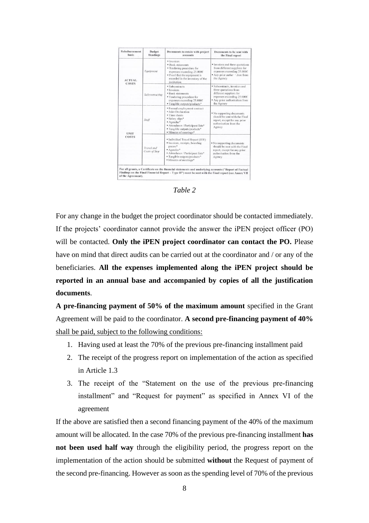| <b>Reimbursement</b><br>basis | <b>Budget</b><br><b>Headings</b> | Documents to retain with project<br>accounts                                                                                                                                                                                | Documents to be sent with<br>the Final report                                                                                                                             |
|-------------------------------|----------------------------------|-----------------------------------------------------------------------------------------------------------------------------------------------------------------------------------------------------------------------------|---------------------------------------------------------------------------------------------------------------------------------------------------------------------------|
| <b>ACTUAL</b><br>COSTS        | Equipment                        | · Invoices<br><b>* Bank statements</b><br>* Tendering procedure for<br>expenses exceeding 25,000€<br>" Proof that the equipment is<br>recorded in the inventory of the<br>institution                                       | " Invoices and three quotations<br>from different suppliers for<br>expenses exceeding 25,000€<br>" Any prior autho: " tion from<br>the Agency                             |
|                               | Subcontracting                   | · Subcontracts<br>· Invoices<br>* Bank statements<br><sup>*</sup> Tendering procedure for<br>expenses exceeding 25.000€<br>* Tangible outputs/products*                                                                     | <sup>*</sup> Subcontracts, invoices and<br>three quotations from<br>different suppliers for<br>expenses exceeding 25.000€<br>* Any prior authorisation from<br>the Agency |
| <b>UNIT</b>                   | Staff                            | * Formal employment contract<br>* Joint Declaration<br>· Time sheets<br>* Salary slips*<br>* Agendas*<br>* Attendance / Participant lists*<br>* Tangible outputs/products*<br><sup>*</sup> Minutes of meetings <sup>*</sup> | " No supporting documents<br>should be sent with the Final<br>report, except for any prior<br>authorisation from the<br>Agency                                            |
| COSTS                         | Travel and<br>Costs of Stay      | <sup>*</sup> Individual Travel Report (ITR)<br>· Invoices, receipts, boarding<br>passes*<br>* Agendas*<br>" Attendance / Participant lists*<br>* Tangible outputs/products*<br>* Minutes of meetings*                       | * No supporting documents<br>should be sent with the Final<br>report, except for any prior<br>authorisation from the<br>Agency                                            |

*Table 2* 

For any change in the budget the project coordinator should be contacted immediately. If the projects' coordinator cannot provide the answer the iPEN project officer (PO) will be contacted. Only the **iPEN** project coordinator can contact the PO. Please have on mind that direct audits can be carried out at the coordinator and / or any of the beneficiaries. **All the expenses implemented along the iPEN project should be reported in an annual base and accompanied by copies of all the justification documents**.

**A pre-financing payment of 50% of the maximum amount** specified in the Grant Agreement will be paid to the coordinator. **A second pre-financing payment of 40%** shall be paid, subject to the following conditions:

- 1. Having used at least the 70% of the previous pre-financing installment paid
- 2. The receipt of the progress report on implementation of the action as specified in Article 1.3
- 3. The receipt of the "Statement on the use of the previous pre-financing installment" and "Request for payment" as specified in Annex VI of the agreement

If the above are satisfied then a second financing payment of the 40% of the maximum amount will be allocated. In the case 70% of the previous pre-financing installment **has not been used half way** through the eligibility period, the progress report on the implementation of the action should be submitted **without** the Request of payment of the second pre-financing. However as soon as the spending level of 70% of the previous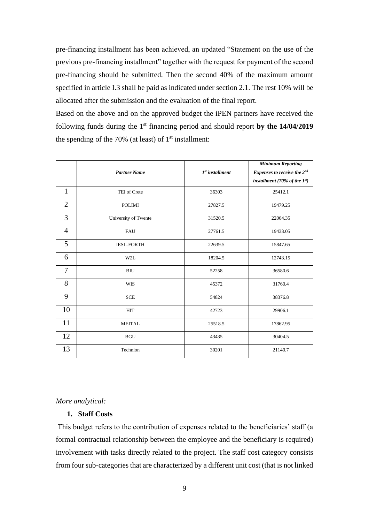pre-financing installment has been achieved, an updated "Statement on the use of the previous pre-financing installment" together with the request for payment of the second pre-financing should be submitted. Then the second 40% of the maximum amount specified in article I.3 shall be paid as indicated under section 2.1. The rest 10% will be allocated after the submission and the evaluation of the final report.

Based on the above and on the approved budget the iPEN partners have received the following funds during the 1st financing period and should report **by the 14/04/2019** the spending of the 70% (at least) of  $1<sup>st</sup>$  installment:

|                |                      |                   | <b>Minimum Reporting</b>           |
|----------------|----------------------|-------------------|------------------------------------|
|                | <b>Partner Name</b>  | $Ist$ installment | Expenses to receive the 2nd        |
|                |                      |                   | installment (70% of the $1^{st}$ ) |
| $\mathbf{1}$   | TEI of Crete         | 36303             | 25412.1                            |
| $\overline{2}$ | <b>POLIMI</b>        | 27827.5           | 19479.25                           |
| 3              | University of Twente | 31520.5           | 22064.35                           |
| $\overline{4}$ | <b>FAU</b>           | 27761.5           | 19433.05                           |
| 5              | <b>IESL-FORTH</b>    | 22639.5           | 15847.65                           |
| 6              | W2L                  | 18204.5           | 12743.15                           |
| $\tau$         | <b>BIU</b>           | 52258             | 36580.6                            |
| 8              | <b>WIS</b>           | 45372             | 31760.4                            |
| 9              | <b>SCE</b>           | 54824             | 38376.8                            |
| 10             | <b>HIT</b>           | 42723             | 29906.1                            |
| 11             | <b>MEITAL</b>        | 25518.5           | 17862.95                           |
| 12             | <b>BGU</b>           | 43435             | 30404.5                            |
| 13             | Technion             | 30201             | 21140.7                            |

#### *More analytical:*

## **1. Staff Costs**

This budget refers to the contribution of expenses related to the beneficiaries' staff (a formal contractual relationship between the employee and the beneficiary is required) involvement with tasks directly related to the project. The staff cost category consists from four sub-categories that are characterized by a different unit cost (that is not linked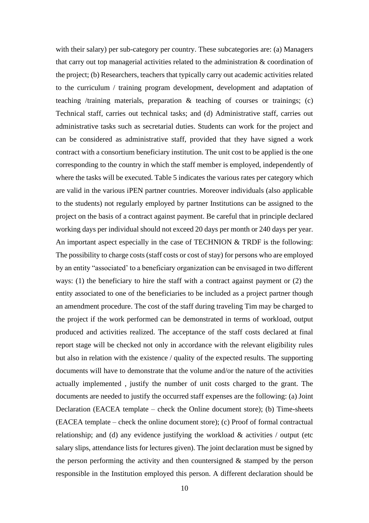with their salary) per sub-category per country. These subcategories are: (a) Managers that carry out top managerial activities related to the administration & coordination of the project; (b) Researchers, teachers that typically carry out academic activities related to the curriculum / training program development, development and adaptation of teaching /training materials, preparation & teaching of courses or trainings; (c) Technical staff, carries out technical tasks; and (d) Administrative staff, carries out administrative tasks such as secretarial duties. Students can work for the project and can be considered as administrative staff, provided that they have signed a work contract with a consortium beneficiary institution. The unit cost to be applied is the one corresponding to the country in which the staff member is employed, independently of where the tasks will be executed. Table 5 indicates the various rates per category which are valid in the various iPEN partner countries. Moreover individuals (also applicable to the students) not regularly employed by partner Institutions can be assigned to the project on the basis of a contract against payment. Be careful that in principle declared working days per individual should not exceed 20 days per month or 240 days per year. An important aspect especially in the case of TECHNION & TRDF is the following: The possibility to charge costs (staff costs or cost of stay) for persons who are employed by an entity "associated' to a beneficiary organization can be envisaged in two different ways: (1) the beneficiary to hire the staff with a contract against payment or (2) the entity associated to one of the beneficiaries to be included as a project partner though an amendment procedure. The cost of the staff during traveling Tim may be charged to the project if the work performed can be demonstrated in terms of workload, output produced and activities realized. The acceptance of the staff costs declared at final report stage will be checked not only in accordance with the relevant eligibility rules but also in relation with the existence / quality of the expected results. The supporting documents will have to demonstrate that the volume and/or the nature of the activities actually implemented , justify the number of unit costs charged to the grant. The documents are needed to justify the occurred staff expenses are the following: (a) Joint Declaration (EACEA template – check the Online document store); (b) Time-sheets (EACEA template – check the online document store); (c) Proof of formal contractual relationship; and (d) any evidence justifying the workload  $\&$  activities / output (etc salary slips, attendance lists for lectures given). The joint declaration must be signed by the person performing the activity and then countersigned  $\&$  stamped by the person responsible in the Institution employed this person. A different declaration should be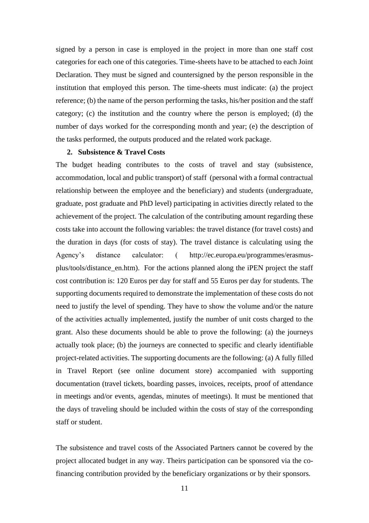signed by a person in case is employed in the project in more than one staff cost categories for each one of this categories. Time-sheets have to be attached to each Joint Declaration. They must be signed and countersigned by the person responsible in the institution that employed this person. The time-sheets must indicate: (a) the project reference; (b) the name of the person performing the tasks, his/her position and the staff category; (c) the institution and the country where the person is employed; (d) the number of days worked for the corresponding month and year; (e) the description of the tasks performed, the outputs produced and the related work package.

#### **2. Subsistence & Travel Costs**

The budget heading contributes to the costs of travel and stay (subsistence, accommodation, local and public transport) of staff (personal with a formal contractual relationship between the employee and the beneficiary) and students (undergraduate, graduate, post graduate and PhD level) participating in activities directly related to the achievement of the project. The calculation of the contributing amount regarding these costs take into account the following variables: the travel distance (for travel costs) and the duration in days (for costs of stay). The travel distance is calculating using the Agency's distance calculator: ( http://ec.europa.eu/programmes/erasmusplus/tools/distance\_en.htm). For the actions planned along the iPEN project the staff cost contribution is: 120 Euros per day for staff and 55 Euros per day for students. The supporting documents required to demonstrate the implementation of these costs do not need to justify the level of spending. They have to show the volume and/or the nature of the activities actually implemented, justify the number of unit costs charged to the grant. Also these documents should be able to prove the following: (a) the journeys actually took place; (b) the journeys are connected to specific and clearly identifiable project-related activities. The supporting documents are the following: (a) A fully filled in Travel Report (see online document store) accompanied with supporting documentation (travel tickets, boarding passes, invoices, receipts, proof of attendance in meetings and/or events, agendas, minutes of meetings). It must be mentioned that the days of traveling should be included within the costs of stay of the corresponding staff or student.

The subsistence and travel costs of the Associated Partners cannot be covered by the project allocated budget in any way. Theirs participation can be sponsored via the cofinancing contribution provided by the beneficiary organizations or by their sponsors*.*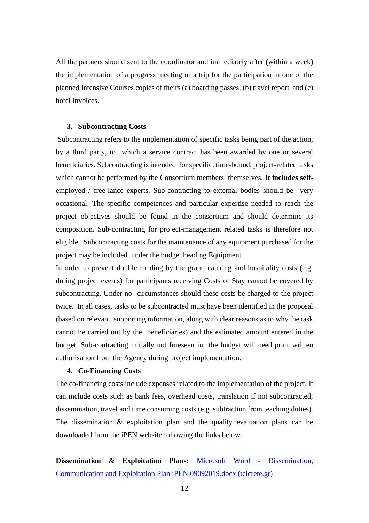All the partners should sent to the coordinator and immediately after (within a week) the implementation of a progress meeting or a trip for the participation in one of the planned Intensive Courses copies of theirs (a) boarding passes, (b) travel report and (c) hotel invoices.

#### **3. Subcontracting Costs**

Subcontracting refers to the implementation of specific tasks being part of the action, by a third party, to which a service contract has been awarded by one or several beneficiaries. Subcontracting is intended for specific, time-bound, project-related tasks which cannot be performed by the Consortium members themselves. **It includes self**employed / free-lance experts. Sub-contracting to external bodies should be very occasional. The specific competences and particular expertise needed to reach the project objectives should be found in the consortium and should determine its composition. Sub-contracting for project-management related tasks is therefore not eligible. Subcontracting costs for the maintenance of any equipment purchased for the project may be included under the budget heading Equipment.

In order to prevent double funding by the grant, catering and hospitality costs (e.g. during project events) for participants receiving Costs of Stay cannot be covered by subcontracting. Under no circumstances should these costs be charged to the project twice. In all cases, tasks to be subcontracted must have been identified in the proposal (based on relevant supporting information, along with clear reasons as to why the task cannot be carried out by the beneficiaries) and the estimated amount entered in the budget. Sub-contracting initially not foreseen in the budget will need prior written authorisation from the Agency during project implementation.

### **4. Co-Financing Costs**

The co-financing costs include expenses related to the implementation of the project. It can include costs such as bank fees, overhead costs, translation if not subcontracted, dissemination, travel and time consuming costs (e.g. subtraction from teaching duties). The dissemination & exploitation plan and the quality evaluation plans can be downloaded from the iPEN website following the links below:

# **Dissemination & Exploitation Plans:** [Microsoft Word -](https://ipenche.chania.teicrete.gr/wp-content/uploads/2019/09/Dissemination-Communication-and-Exploitation-Plan.pdf) Dissemination, [Communication and Exploitation Plan iPEN 09092019.docx \(teicrete.gr\)](https://ipenche.chania.teicrete.gr/wp-content/uploads/2019/09/Dissemination-Communication-and-Exploitation-Plan.pdf)